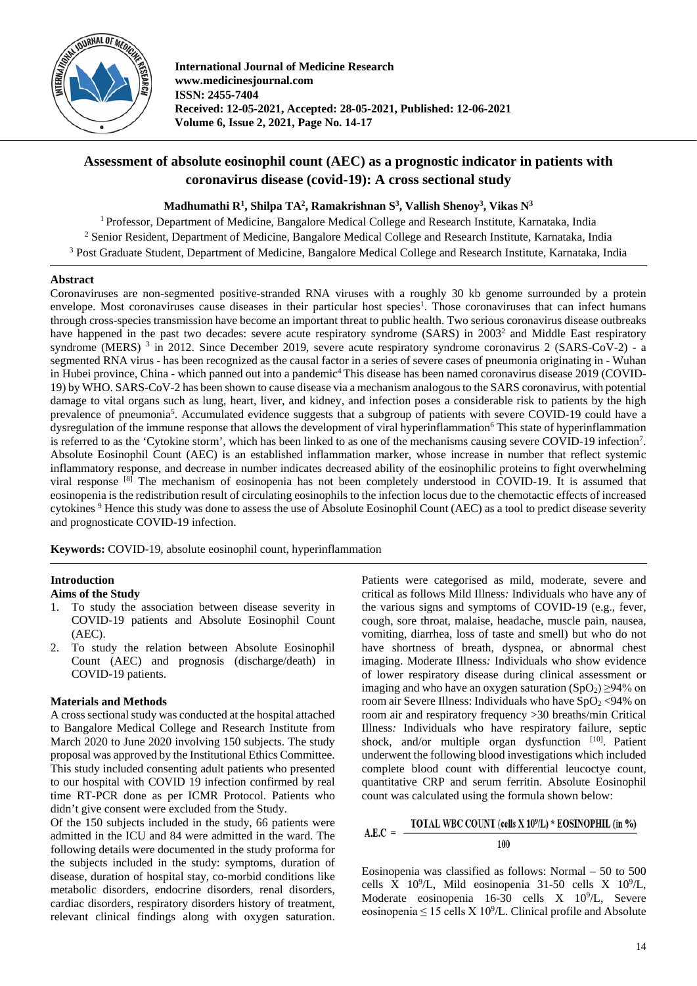

**International Journal of Medicine Research www.medicinesjournal.com ISSN: 2455-7404 Received: 12-05-2021, Accepted: 28-05-2021, Published: 12-06-2021 Volume 6, Issue 2, 2021, Page No. 14-17**

# **Assessment of absolute eosinophil count (AEC) as a prognostic indicator in patients with coronavirus disease (covid-19): A cross sectional study**

**Madhumathi R1 , Shilpa TA2 , Ramakrishnan S3 , Vallish Shenoy3 , Vikas N3**

<sup>1</sup> Professor, Department of Medicine, Bangalore Medical College and Research Institute, Karnataka, India <sup>2</sup> Senior Resident, Department of Medicine, Bangalore Medical College and Research Institute, Karnataka, India <sup>3</sup> Post Graduate Student, Department of Medicine, Bangalore Medical College and Research Institute, Karnataka, India

## **Abstract**

Coronaviruses are non-segmented positive-stranded RNA viruses with a roughly 30 kb genome surrounded by a protein envelope. Most coronaviruses cause diseases in their particular host species<sup>1</sup>. Those coronaviruses that can infect humans through cross-species transmission have become an important threat to public health. Two serious coronavirus disease outbreaks have happened in the past two decades: severe acute respiratory syndrome (SARS) in 2003<sup>2</sup> and Middle East respiratory syndrome (MERS)<sup>3</sup> in 2012. Since December 2019, severe acute respiratory syndrome coronavirus 2 (SARS-CoV-2) - a segmented RNA virus - has been recognized as the causal factor in a series of severe cases of pneumonia originating in - Wuhan in Hubei province, China - which panned out into a pandemic<sup>4</sup> This disease has been named coronavirus disease 2019 (COVID-19) by WHO. SARS-CoV-2 has been shown to cause disease via a mechanism analogous to the SARS coronavirus, with potential damage to vital organs such as lung, heart, liver, and kidney, and infection poses a considerable risk to patients by the high prevalence of pneumonia<sup>5</sup>. Accumulated evidence suggests that a subgroup of patients with severe COVID-19 could have a dysregulation of the immune response that allows the development of viral hyperinflammation<sup>6</sup> This state of hyperinflammation is referred to as the 'Cytokine storm', which has been linked to as one of the mechanisms causing severe COVID-19 infection7 . Absolute Eosinophil Count (AEC) is an established inflammation marker, whose increase in number that reflect systemic inflammatory response, and decrease in number indicates decreased ability of the eosinophilic proteins to fight overwhelming viral response  $^{[8]}$  The mechanism of eosinopenia has not been completely understood in COVID-19. It is assumed that eosinopenia is the redistribution result of circulating eosinophils to the infection locus due to the chemotactic effects of increased cytokines <sup>9</sup> Hence this study was done to assess the use of Absolute Eosinophil Count (AEC) as a tool to predict disease severity and prognosticate COVID-19 infection.

**Keywords:** COVID-19, absolute eosinophil count, hyperinflammation

## **Introduction**

## **Aims of the Study**

- 1. To study the association between disease severity in COVID-19 patients and Absolute Eosinophil Count (AEC).
- 2. To study the relation between Absolute Eosinophil Count (AEC) and prognosis (discharge/death) in COVID-19 patients.

## **Materials and Methods**

A cross sectional study was conducted at the hospital attached to Bangalore Medical College and Research Institute from March 2020 to June 2020 involving 150 subjects. The study proposal was approved by the Institutional Ethics Committee. This study included consenting adult patients who presented to our hospital with COVID 19 infection confirmed by real time RT-PCR done as per ICMR Protocol. Patients who didn't give consent were excluded from the Study.

Of the 150 subjects included in the study, 66 patients were admitted in the ICU and 84 were admitted in the ward. The following details were documented in the study proforma for the subjects included in the study: symptoms, duration of disease, duration of hospital stay, co-morbid conditions like metabolic disorders, endocrine disorders, renal disorders, cardiac disorders, respiratory disorders history of treatment, relevant clinical findings along with oxygen saturation.

Patients were categorised as mild, moderate, severe and critical as follows Mild Illness*:* Individuals who have any of the various signs and symptoms of COVID-19 (e.g., fever, cough, sore throat, malaise, headache, muscle pain, nausea, vomiting, diarrhea, loss of taste and smell) but who do not have shortness of breath, dyspnea, or abnormal chest imaging. Moderate Illness*:* Individuals who show evidence of lower respiratory disease during clinical assessment or imaging and who have an oxygen saturation  $(SpO<sub>2</sub>) \ge 94\%$  on room air Severe Illness: Individuals who have  $SpO<sub>2</sub> < 94%$  on room air and respiratory frequency >30 breaths/min Critical Illness*:* Individuals who have respiratory failure, septic shock, and/or multiple organ dysfunction [10]. Patient underwent the following blood investigations which included complete blood count with differential leucoctye count, quantitative CRP and serum ferritin. Absolute Eosinophil count was calculated using the formula shown below:

#### TOTAL WBC COUNT (cells X 10<sup>9</sup>/L) \* EOSINOPHIL (in %)  $A.E.C =$ 100

Eosinopenia was classified as follows: Normal – 50 to 500 cells X  $10^9$ /L, Mild eosinopenia 31-50 cells X  $10^9$ /L, Moderate eosinopenia  $16-30$  cells  $X$   $10^9/L$ , Severe eosinopenia  $\leq 15$  cells X 10<sup>9</sup>/L. Clinical profile and Absolute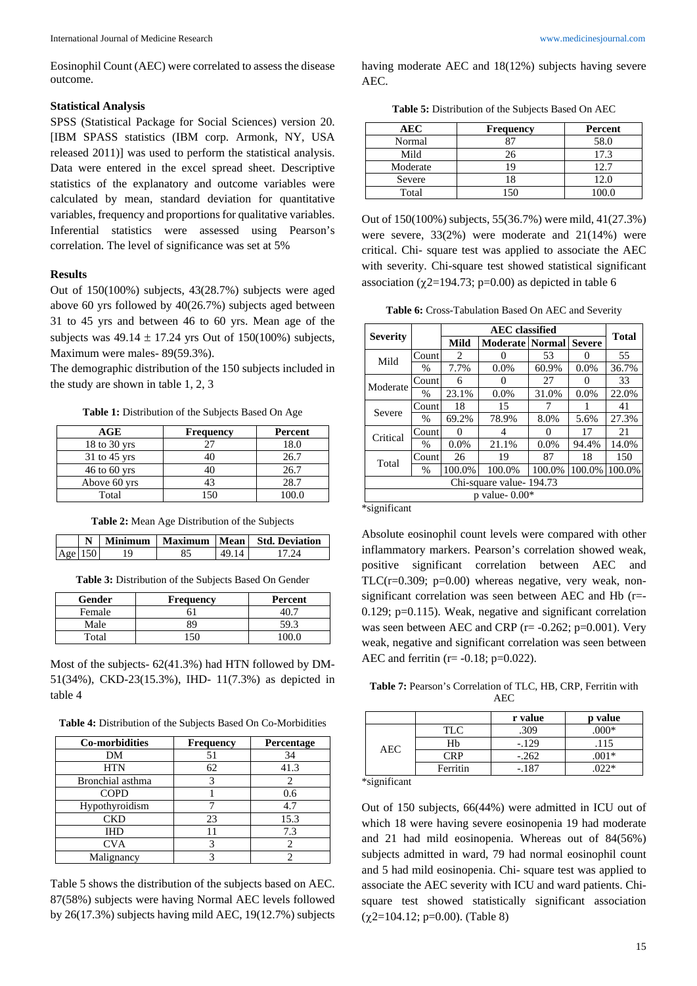Eosinophil Count (AEC) were correlated to assess the disease outcome.

#### **Statistical Analysis**

SPSS (Statistical Package for Social Sciences) version 20. [IBM SPASS statistics (IBM corp. Armonk, NY, USA released 2011)] was used to perform the statistical analysis. Data were entered in the excel spread sheet. Descriptive statistics of the explanatory and outcome variables were calculated by mean, standard deviation for quantitative variables, frequency and proportions for qualitative variables. Inferential statistics were assessed using Pearson's correlation. The level of significance was set at 5%

#### **Results**

Out of 150(100%) subjects, 43(28.7%) subjects were aged above 60 yrs followed by 40(26.7%) subjects aged between 31 to 45 yrs and between 46 to 60 yrs. Mean age of the subjects was  $49.14 \pm 17.24$  yrs Out of 150(100%) subjects, Maximum were males- 89(59.3%).

The demographic distribution of the 150 subjects included in the study are shown in table 1, 2, 3

**Table 1:** Distribution of the Subjects Based On Age

| AGE              | <b>Frequency</b> | Percent |
|------------------|------------------|---------|
| 18 to $30$ yrs   | 27               | 18.0    |
| $31$ to 45 yrs   |                  | 26.7    |
| $46$ to $60$ yrs |                  | 26.7    |
| Above 60 yrs     | 43               | 28.7    |
| Total            | 150              | 100.0   |

**Table 2:** Mean Age Distribution of the Subjects

|     |  |  | Minimum   Maximum   Mean   Std. Deviation |
|-----|--|--|-------------------------------------------|
| Age |  |  |                                           |

**Table 3:** Distribution of the Subjects Based On Gender

| Gender | <b>Frequency</b> | Percent |
|--------|------------------|---------|
| Female |                  |         |
| Male   |                  | 59.1    |
| Total  |                  |         |

Most of the subjects- 62(41.3%) had HTN followed by DM-51(34%), CKD-23(15.3%), IHD- 11(7.3%) as depicted in table 4

**Table 4:** Distribution of the Subjects Based On Co-Morbidities

| <b>Co-morbidities</b> | <b>Frequency</b> | <b>Percentage</b> |
|-----------------------|------------------|-------------------|
| DM                    | 51               | 34                |
| <b>HTN</b>            | 62               | 41.3              |
| Bronchial asthma      |                  |                   |
| <b>COPD</b>           |                  | 0.6               |
| Hypothyroidism        |                  | 4.7               |
| <b>CKD</b>            | 23               | 15.3              |
| IHD                   |                  | 7.3               |
| <b>CVA</b>            | 3                | 2                 |
| Malignancy            |                  |                   |

Table 5 shows the distribution of the subjects based on AEC. 87(58%) subjects were having Normal AEC levels followed by 26(17.3%) subjects having mild AEC, 19(12.7%) subjects having moderate AEC and 18(12%) subjects having severe AEC.

**Table 5:** Distribution of the Subjects Based On AEC

| AEC      | <b>Frequency</b> | Percent |
|----------|------------------|---------|
| Normal   |                  | 58.0    |
| Mild     | 26               | 17.3    |
| Moderate |                  | 12.7    |
| Severe   |                  | 12.0    |
| Total    |                  | (0.01)  |

Out of 150(100%) subjects, 55(36.7%) were mild, 41(27.3%) were severe, 33(2%) were moderate and 21(14%) were critical. Chi- square test was applied to associate the AEC with severity. Chi-square test showed statistical significant association ( $\chi$ 2=194.73; p=0.00) as depicted in table 6

**Table 6:** Cross-Tabulation Based On AEC and Severity

|                         |               |                   | <b>Total</b>             |        |                   |        |
|-------------------------|---------------|-------------------|--------------------------|--------|-------------------|--------|
| <b>Severity</b>         |               | Mild              | <b>Moderate   Normal</b> |        | <b>Severe</b>     |        |
| Mild                    | Count         | 2                 |                          | 53     |                   | 55     |
|                         | $\frac{0}{0}$ | 7.7%              | 0.0%                     | 60.9%  | 0.0%              | 36.7%  |
| Moderate                | Count         | 6                 | $\mathbf{\Omega}$        | 27     | $\mathbf{\Omega}$ | 33     |
|                         | $\%$          | 23.1%             | $0.0\%$                  | 31.0%  | $0.0\%$           | 22.0%  |
| Severe                  | Count         | 18                | 15                       |        |                   | 41     |
|                         | $\%$          | 69.2%             | 78.9%                    | 8.0%   | 5.6%              | 27.3%  |
| Critical                | Count         | $\mathbf{\Omega}$ | 4                        | 0      | 17                | 21     |
|                         | $\%$          | $0.0\%$           | 21.1%                    | 0.0%   | 94.4%             | 14.0%  |
| Total                   | Count         | 26                | 19                       | 87     | 18                | 150    |
|                         | $\%$          | 100.0%            | 100.0%                   | 100.0% | 100.0%            | 100.0% |
| Chi-square value-194.73 |               |                   |                          |        |                   |        |
| $p$ value- $0.00*$      |               |                   |                          |        |                   |        |

\*significant

Absolute eosinophil count levels were compared with other inflammatory markers. Pearson's correlation showed weak, positive significant correlation between AEC and TLC( $r=0.309$ ;  $p=0.00$ ) whereas negative, very weak, nonsignificant correlation was seen between AEC and Hb (r=- 0.129; p=0.115). Weak, negative and significant correlation was seen between AEC and CRP  $(r= -0.262; p=0.001)$ . Very weak, negative and significant correlation was seen between AEC and ferritin ( $r = -0.18$ ;  $p = 0.022$ ).

**Table 7:** Pearson's Correlation of TLC, HB, CRP, Ferritin with  $\triangle$ EC

|            |            | r value | p value |
|------------|------------|---------|---------|
| <b>AEC</b> | <b>TLC</b> | .309    | $.000*$ |
|            | Hb         | $-.129$ | .115    |
|            | ™P         | $-.262$ | $.001*$ |
|            | Ferritin   | $-187$  | ገንን*    |

\*significant

Out of 150 subjects, 66(44%) were admitted in ICU out of which 18 were having severe eosinopenia 19 had moderate and 21 had mild eosinopenia. Whereas out of 84(56%) subjects admitted in ward, 79 had normal eosinophil count and 5 had mild eosinopenia. Chi- square test was applied to associate the AEC severity with ICU and ward patients. Chisquare test showed statistically significant association  $(\gamma 2=104.12; \text{p}=0.00)$ . (Table 8)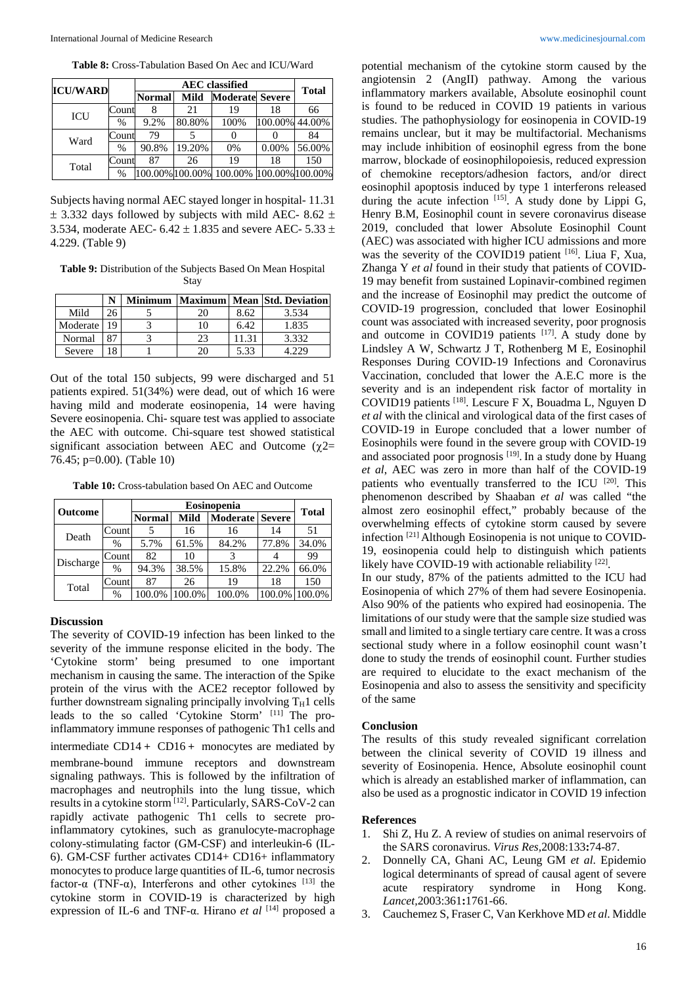**Table 8:** Cross-Tabulation Based On Aec and ICU/Ward

| <b>ICU/WARD</b> |       |               |               |                                         |                        |                |              |  |
|-----------------|-------|---------------|---------------|-----------------------------------------|------------------------|----------------|--------------|--|
|                 |       |               | <b>Normal</b> | Mild                                    | <b>Moderate Severe</b> |                | <b>Total</b> |  |
|                 | Count |               | 21            | 19                                      | 18                     | 66             |              |  |
|                 | ICU   | $\frac{0}{0}$ | 9.2%          | 80.80%                                  | 100%                   | 100.00% 44.00% |              |  |
|                 | Ward  | Count         | 79            |                                         |                        |                | 84           |  |
|                 |       | $\%$          | 90.8%         | 19.20%                                  | 0%                     | 0.00%          | 56.00%       |  |
| Total           | Count | 87            | 26            | 19                                      | 18                     | 150            |              |  |
|                 | %     |               |               | 100.00% 100.00% 100.00% 100.00% 100.00% |                        |                |              |  |

Subjects having normal AEC stayed longer in hospital- 11.31  $\pm$  3.332 days followed by subjects with mild AEC- 8.62  $\pm$ 3.534, moderate AEC- 6.42  $\pm$  1.835 and severe AEC- 5.33  $\pm$ 4.229. (Table 9)

**Table 9:** Distribution of the Subjects Based On Mean Hospital Stay

|          |    | <b>Minimum</b> |    |       | Maximum  Mean   Std. Deviation |
|----------|----|----------------|----|-------|--------------------------------|
| Mild     |    |                |    | 8.62  | 3.534                          |
| Moderate | 19 |                | 10 | 6.42  | 1.835                          |
| Normal   |    |                | 23 | 11.31 | 3.332                          |
| Severe   | 8  |                |    | 5.33  | 4.229                          |

Out of the total 150 subjects, 99 were discharged and 51 patients expired. 51(34%) were dead, out of which 16 were having mild and moderate eosinopenia, 14 were having Severe eosinopenia. Chi- square test was applied to associate the AEC with outcome. Chi-square test showed statistical significant association between AEC and Outcome ( $\gamma$ 2= 76.45; p=0.00). (Table 10)

**Table 10:** Cross-tabulation based On AEC and Outcome

| <b>Outcome</b> |       |               | <b>Total</b> |                 |               |        |  |
|----------------|-------|---------------|--------------|-----------------|---------------|--------|--|
|                |       | <b>Normal</b> | Mild         | <b>Moderate</b> | <b>Severe</b> |        |  |
| Death          | Count |               | 16           | 16              | 14            | 51     |  |
|                | $\%$  | 5.7%          | 61.5%        | 84.2%           | 77.8%         | 34.0%  |  |
| Discharge      | Count | 82            | 10           |                 |               | 99     |  |
|                | $\%$  | 94.3%         | 38.5%        | 15.8%           | 22.2%         | 66.0%  |  |
| Total          | Count | 87            | 26           | 19              | 18            | 150    |  |
|                | %     | 100.0%        | 100.0%       | 100.0%          | 100.0%        | 100.0% |  |

#### **Discussion**

The severity of COVID-19 infection has been linked to the severity of the immune response elicited in the body. The 'Cytokine storm' being presumed to one important mechanism in causing the same. The interaction of the Spike protein of the virus with the ACE2 receptor followed by further downstream signaling principally involving  $T_H1$  cells leads to the so called 'Cytokine Storm' [11] The proinflammatory immune responses of pathogenic Th1 cells and intermediate CD14+ CD16+ monocytes are mediated by membrane-bound immune receptors and downstream signaling pathways. This is followed by the infiltration of macrophages and neutrophils into the lung tissue, which results in a cytokine storm [12] . Particularly, SARS-CoV-2 can rapidly activate pathogenic Th1 cells to secrete proinflammatory cytokines, such as granulocyte-macrophage colony-stimulating factor (GM-CSF) and interleukin-6 (IL-6). GM-CSF further activates CD14+ CD16+ inflammatory monocytes to produce large quantities of IL-6, tumor necrosis factor-α (TNF-α), Interferons and other cytokines  $[13]$  the cytokine storm in COVID-19 is characterized by high expression of IL-6 and TNF-α. Hirano *et al* [14] proposed a

potential mechanism of the cytokine storm caused by the angiotensin 2 (AngII) pathway. Among the various inflammatory markers available, Absolute eosinophil count is found to be reduced in COVID 19 patients in various studies. The pathophysiology for eosinopenia in COVID-19 remains unclear, but it may be multifactorial. Mechanisms may include inhibition of eosinophil egress from the bone marrow, blockade of eosinophilopoiesis, reduced expression of chemokine receptors/adhesion factors, and/or direct eosinophil apoptosis induced by type 1 interferons released during the acute infection  $[15]$ . A study done by Lippi G, Henry B.M, Eosinophil count in severe coronavirus disease 2019, concluded that lower Absolute Eosinophil Count (AEC) was associated with higher ICU admissions and more was the severity of the COVID19 patient [16]. Liua F, Xua, Zhanga Y *et al* found in their study that patients of COVID-19 may benefit from sustained Lopinavir-combined regimen and the increase of Eosinophil may predict the outcome of COVID-19 progression, concluded that lower Eosinophil count was associated with increased severity, poor prognosis and outcome in COVID19 patients  $[17]$ . A study done by Lindsley A W, Schwartz J T, Rothenberg M E, Eosinophil Responses During COVID-19 Infections and Coronavirus Vaccination, concluded that lower the A.E.C more is the severity and is an independent risk factor of mortality in COVID19 patients [18] . Lescure F X, Bouadma L, Nguyen D *et al* with the clinical and virological data of the first cases of COVID-19 in Europe concluded that a lower number of Eosinophils were found in the severe group with COVID-19 and associated poor prognosis  $[19]$ . In a study done by Huang *et al*, AEC was zero in more than half of the COVID-19 patients who eventually transferred to the ICU <a>[20]</a>. This phenomenon described by Shaaban *et al* was called "the almost zero eosinophil effect," probably because of the overwhelming effects of cytokine storm caused by severe infection [21] Although Eosinopenia is not unique to COVID-19, eosinopenia could help to distinguish which patients likely have COVID-19 with actionable reliability [22].

In our study, 87% of the patients admitted to the ICU had Eosinopenia of which 27% of them had severe Eosinopenia. Also 90% of the patients who expired had eosinopenia. The limitations of our study were that the sample size studied was small and limited to a single tertiary care centre. It was a cross sectional study where in a follow eosinophil count wasn't done to study the trends of eosinophil count. Further studies are required to elucidate to the exact mechanism of the Eosinopenia and also to assess the sensitivity and specificity of the same

#### **Conclusion**

The results of this study revealed significant correlation between the clinical severity of COVID 19 illness and severity of Eosinopenia. Hence, Absolute eosinophil count which is already an established marker of inflammation, can also be used as a prognostic indicator in COVID 19 infection

#### **References**

- 1. Shi Z, Hu Z. A review of studies on animal reservoirs of the SARS coronavirus. *Virus Res,*2008:133**:**74-87.
- 2. Donnelly CA, Ghani AC, Leung GM *et al*. Epidemio logical determinants of spread of causal agent of severe acute respiratory syndrome in Hong Kong. *Lancet,*2003:361**:**1761-66.
- 3. Cauchemez S, Fraser C, Van Kerkhove MD *et al*. Middle